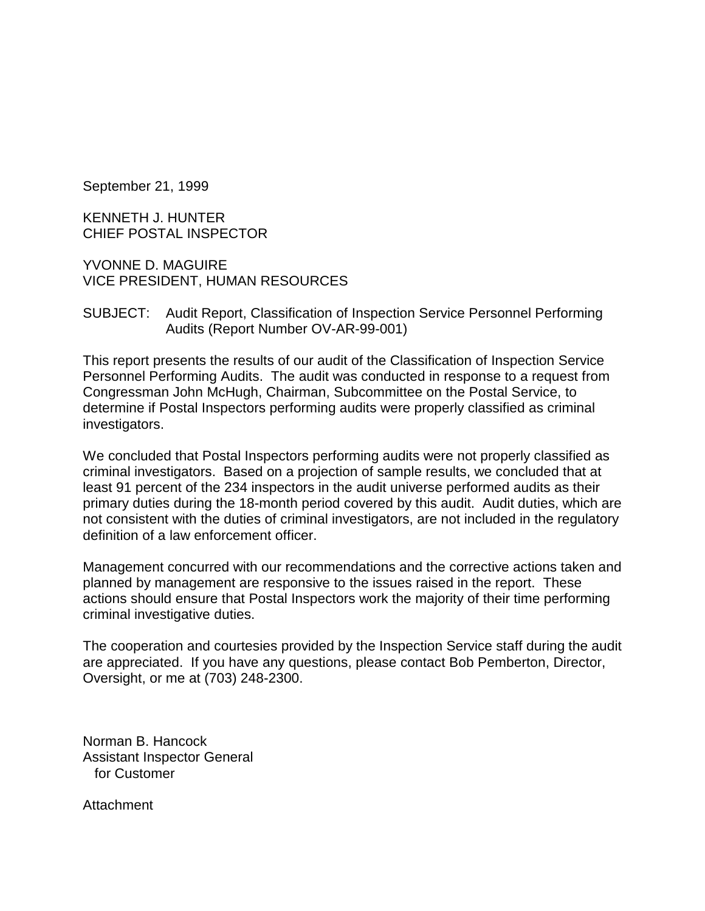September 21, 1999

KENNETH J. HUNTER CHIEF POSTAL INSPECTOR

YVONNE D. MAGUIRE VICE PRESIDENT, HUMAN RESOURCES

SUBJECT: Audit Report, Classification of Inspection Service Personnel Performing Audits (Report Number OV-AR-99-001)

This report presents the results of our audit of the Classification of Inspection Service Personnel Performing Audits. The audit was conducted in response to a request from Congressman John McHugh, Chairman, Subcommittee on the Postal Service, to determine if Postal Inspectors performing audits were properly classified as criminal investigators.

We concluded that Postal Inspectors performing audits were not properly classified as criminal investigators. Based on a projection of sample results, we concluded that at least 91 percent of the 234 inspectors in the audit universe performed audits as their primary duties during the 18-month period covered by this audit. Audit duties, which are not consistent with the duties of criminal investigators, are not included in the regulatory definition of a law enforcement officer.

Management concurred with our recommendations and the corrective actions taken and planned by management are responsive to the issues raised in the report. These actions should ensure that Postal Inspectors work the majority of their time performing criminal investigative duties.

The cooperation and courtesies provided by the Inspection Service staff during the audit are appreciated. If you have any questions, please contact Bob Pemberton, Director, Oversight, or me at (703) 248-2300.

Norman B. Hancock Assistant Inspector General for Customer

Attachment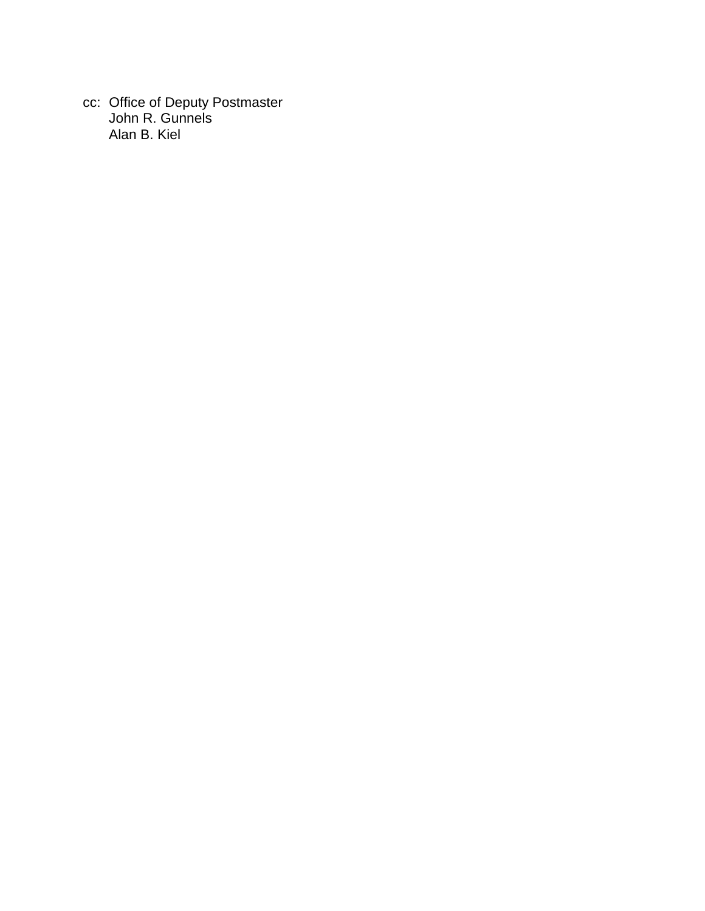cc: Office of Deputy Postmaster John R. Gunnels Alan B. Kiel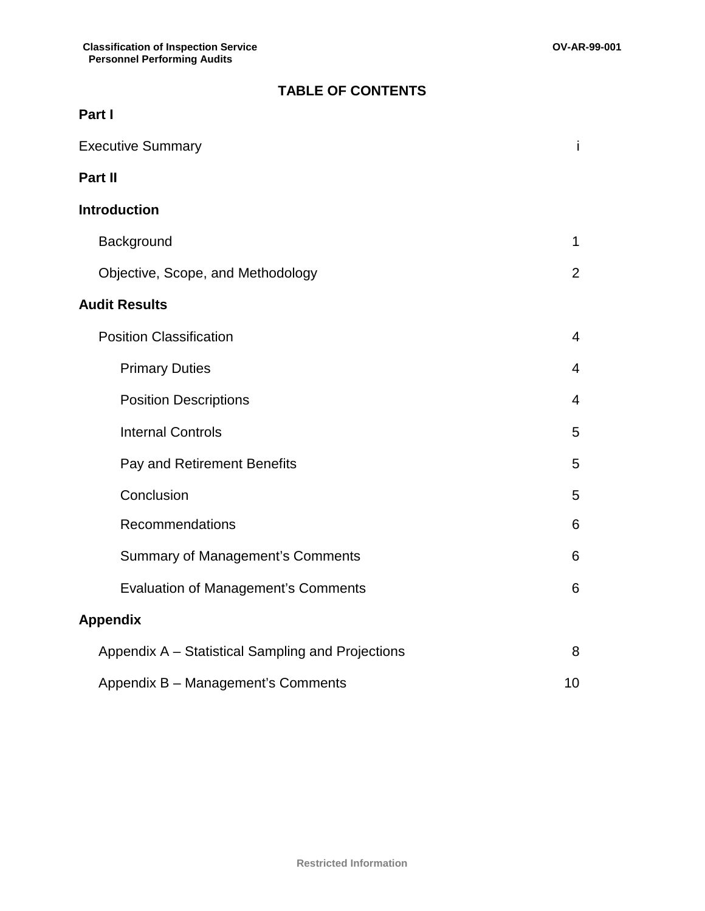## **TABLE OF CONTENTS**

| Part I                                            |                         |
|---------------------------------------------------|-------------------------|
| <b>Executive Summary</b>                          | j.                      |
| Part II                                           |                         |
| <b>Introduction</b>                               |                         |
| Background                                        | $\mathbf{1}$            |
| Objective, Scope, and Methodology                 | $\overline{2}$          |
| <b>Audit Results</b>                              |                         |
| <b>Position Classification</b>                    | $\overline{4}$          |
| <b>Primary Duties</b>                             | $\overline{\mathbf{4}}$ |
| <b>Position Descriptions</b>                      | 4                       |
| <b>Internal Controls</b>                          | 5                       |
| Pay and Retirement Benefits                       | 5                       |
| Conclusion                                        | 5                       |
| Recommendations                                   | 6                       |
| <b>Summary of Management's Comments</b>           | 6                       |
| <b>Evaluation of Management's Comments</b>        | 6                       |
| <b>Appendix</b>                                   |                         |
| Appendix A - Statistical Sampling and Projections | 8                       |
| Appendix B - Management's Comments                | 10                      |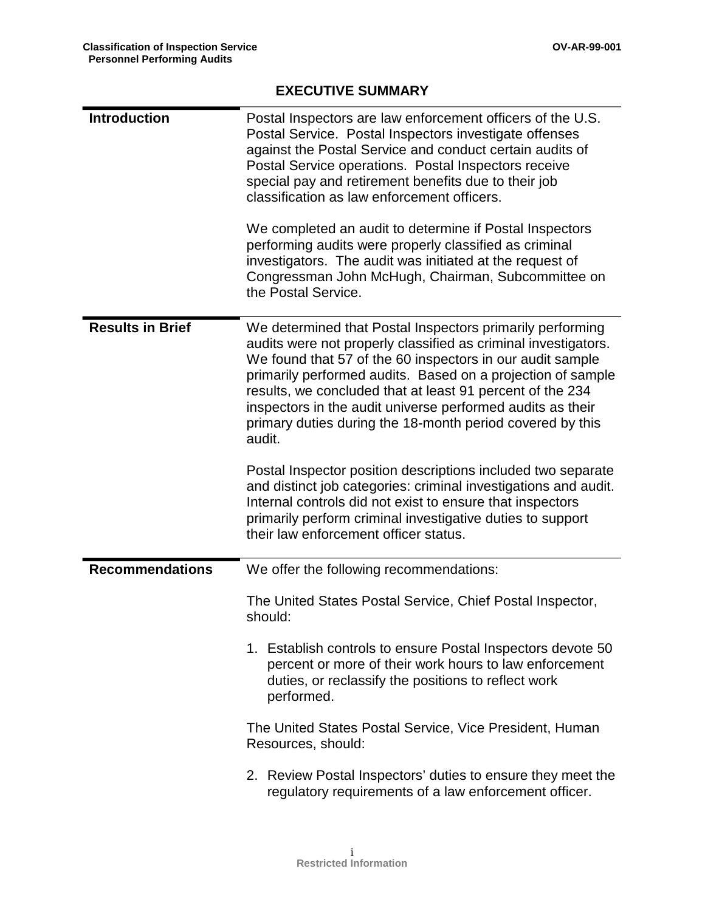### **EXECUTIVE SUMMARY**

| <b>Introduction</b>     | Postal Inspectors are law enforcement officers of the U.S.<br>Postal Service. Postal Inspectors investigate offenses<br>against the Postal Service and conduct certain audits of<br>Postal Service operations. Postal Inspectors receive<br>special pay and retirement benefits due to their job<br>classification as law enforcement officers.<br>We completed an audit to determine if Postal Inspectors<br>performing audits were properly classified as criminal<br>investigators. The audit was initiated at the request of<br>Congressman John McHugh, Chairman, Subcommittee on<br>the Postal Service. |
|-------------------------|---------------------------------------------------------------------------------------------------------------------------------------------------------------------------------------------------------------------------------------------------------------------------------------------------------------------------------------------------------------------------------------------------------------------------------------------------------------------------------------------------------------------------------------------------------------------------------------------------------------|
| <b>Results in Brief</b> | We determined that Postal Inspectors primarily performing<br>audits were not properly classified as criminal investigators.<br>We found that 57 of the 60 inspectors in our audit sample<br>primarily performed audits. Based on a projection of sample<br>results, we concluded that at least 91 percent of the 234<br>inspectors in the audit universe performed audits as their<br>primary duties during the 18-month period covered by this<br>audit.                                                                                                                                                     |
|                         | Postal Inspector position descriptions included two separate<br>and distinct job categories: criminal investigations and audit.<br>Internal controls did not exist to ensure that inspectors<br>primarily perform criminal investigative duties to support<br>their law enforcement officer status.                                                                                                                                                                                                                                                                                                           |
| <b>Recommendations</b>  | We offer the following recommendations:                                                                                                                                                                                                                                                                                                                                                                                                                                                                                                                                                                       |
|                         | The United States Postal Service, Chief Postal Inspector,<br>should:                                                                                                                                                                                                                                                                                                                                                                                                                                                                                                                                          |
|                         | 1. Establish controls to ensure Postal Inspectors devote 50<br>percent or more of their work hours to law enforcement<br>duties, or reclassify the positions to reflect work<br>performed.                                                                                                                                                                                                                                                                                                                                                                                                                    |
|                         | The United States Postal Service, Vice President, Human<br>Resources, should:                                                                                                                                                                                                                                                                                                                                                                                                                                                                                                                                 |
|                         | 2. Review Postal Inspectors' duties to ensure they meet the<br>regulatory requirements of a law enforcement officer.                                                                                                                                                                                                                                                                                                                                                                                                                                                                                          |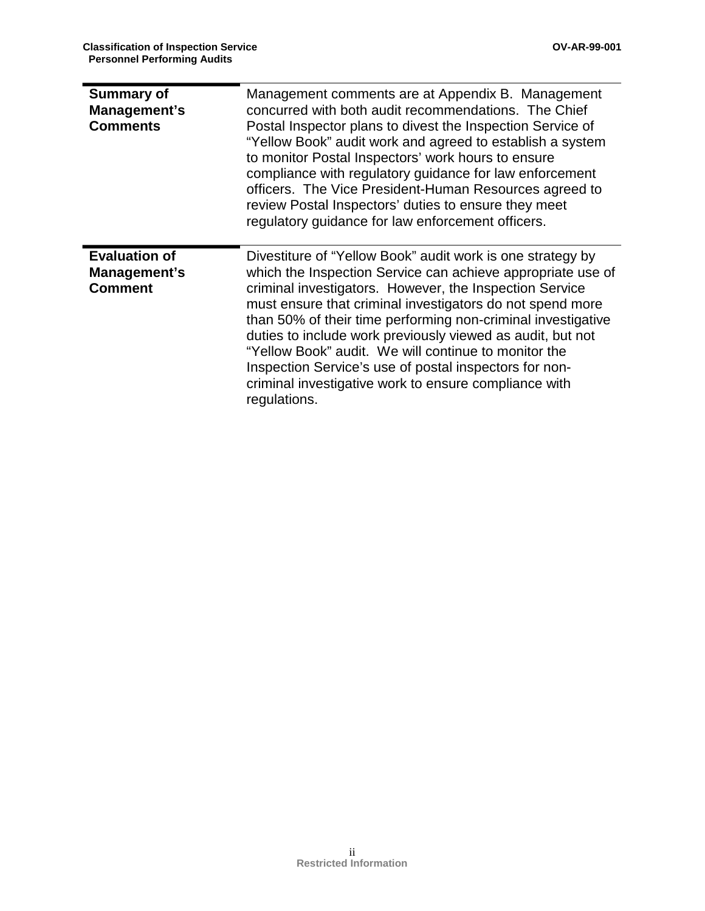$\overline{\phantom{0}}$ 

| <b>Summary of</b><br>Management's<br><b>Comments</b>   | Management comments are at Appendix B. Management<br>concurred with both audit recommendations. The Chief<br>Postal Inspector plans to divest the Inspection Service of<br>"Yellow Book" audit work and agreed to establish a system<br>to monitor Postal Inspectors' work hours to ensure<br>compliance with regulatory guidance for law enforcement<br>officers. The Vice President-Human Resources agreed to<br>review Postal Inspectors' duties to ensure they meet<br>regulatory guidance for law enforcement officers.                                               |
|--------------------------------------------------------|----------------------------------------------------------------------------------------------------------------------------------------------------------------------------------------------------------------------------------------------------------------------------------------------------------------------------------------------------------------------------------------------------------------------------------------------------------------------------------------------------------------------------------------------------------------------------|
| <b>Evaluation of</b><br>Management's<br><b>Comment</b> | Divestiture of "Yellow Book" audit work is one strategy by<br>which the Inspection Service can achieve appropriate use of<br>criminal investigators. However, the Inspection Service<br>must ensure that criminal investigators do not spend more<br>than 50% of their time performing non-criminal investigative<br>duties to include work previously viewed as audit, but not<br>"Yellow Book" audit. We will continue to monitor the<br>Inspection Service's use of postal inspectors for non-<br>criminal investigative work to ensure compliance with<br>regulations. |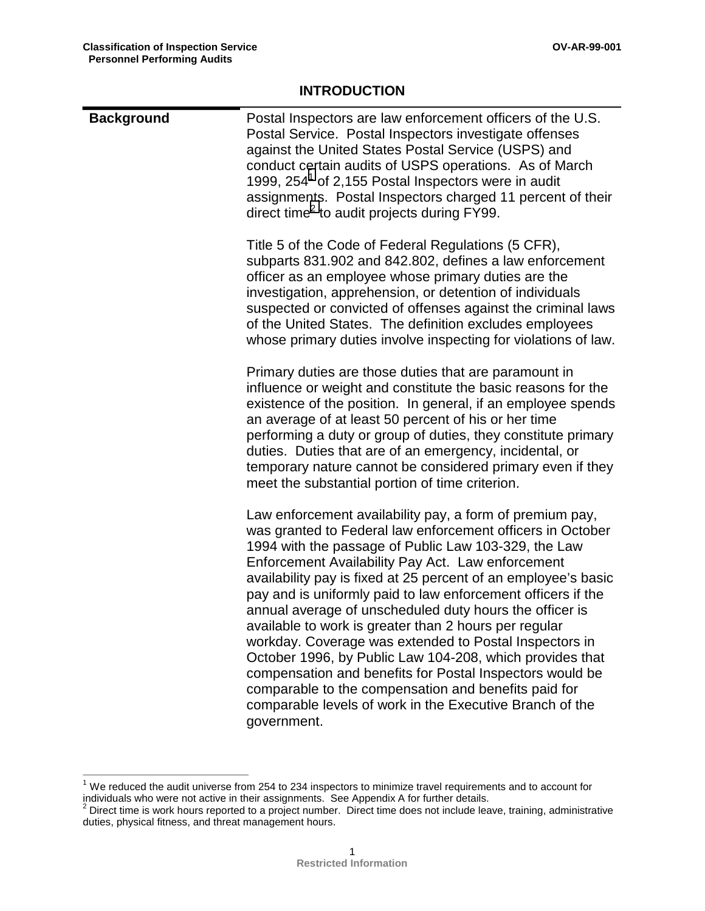| <b>Background</b> | Postal Inspectors are law enforcement officers of the U.S.<br>Postal Service. Postal Inspectors investigate offenses<br>against the United States Postal Service (USPS) and<br>conduct certain audits of USPS operations. As of March<br>1999, 254 <sup>1</sup> of 2,155 Postal Inspectors were in audit<br>assignments. Postal Inspectors charged 11 percent of their<br>direct time <sup>2</sup> to audit projects during FY99.                                                                                                                                                                                                                                                                                                                                                                              |
|-------------------|----------------------------------------------------------------------------------------------------------------------------------------------------------------------------------------------------------------------------------------------------------------------------------------------------------------------------------------------------------------------------------------------------------------------------------------------------------------------------------------------------------------------------------------------------------------------------------------------------------------------------------------------------------------------------------------------------------------------------------------------------------------------------------------------------------------|
|                   | Title 5 of the Code of Federal Regulations (5 CFR),<br>subparts 831.902 and 842.802, defines a law enforcement<br>officer as an employee whose primary duties are the<br>investigation, apprehension, or detention of individuals<br>suspected or convicted of offenses against the criminal laws<br>of the United States. The definition excludes employees<br>whose primary duties involve inspecting for violations of law.                                                                                                                                                                                                                                                                                                                                                                                 |
|                   | Primary duties are those duties that are paramount in<br>influence or weight and constitute the basic reasons for the<br>existence of the position. In general, if an employee spends<br>an average of at least 50 percent of his or her time<br>performing a duty or group of duties, they constitute primary<br>duties. Duties that are of an emergency, incidental, or<br>temporary nature cannot be considered primary even if they<br>meet the substantial portion of time criterion.                                                                                                                                                                                                                                                                                                                     |
|                   | Law enforcement availability pay, a form of premium pay,<br>was granted to Federal law enforcement officers in October<br>1994 with the passage of Public Law 103-329, the Law<br>Enforcement Availability Pay Act. Law enforcement<br>availability pay is fixed at 25 percent of an employee's basic<br>pay and is uniformly paid to law enforcement officers if the<br>annual average of unscheduled duty hours the officer is<br>available to work is greater than 2 hours per regular<br>workday. Coverage was extended to Postal Inspectors in<br>October 1996, by Public Law 104-208, which provides that<br>compensation and benefits for Postal Inspectors would be<br>comparable to the compensation and benefits paid for<br>comparable levels of work in the Executive Branch of the<br>government. |

#### **INTRODUCTION**

 $1$  We reduced the audit universe from 254 to 234 inspectors to minimize travel requirements and to account for individuals who were not active in their assignments. See Appendix A for further details.

 $2$  Direct time is work hours reported to a project number. Direct time does not include leave, training, administrative duties, physical fitness, and threat management hours.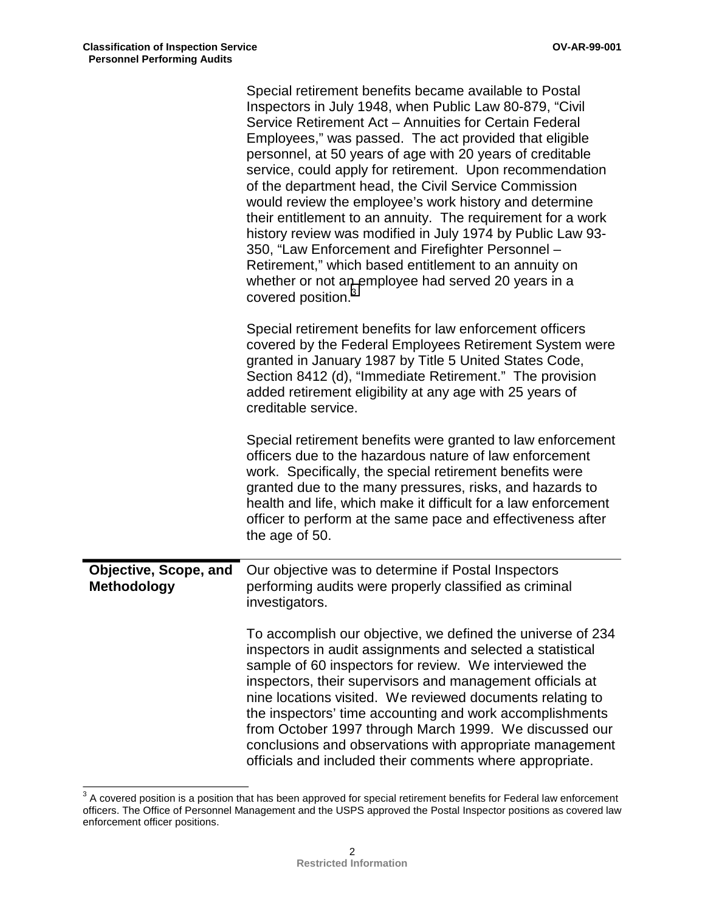|                                             | Special retirement benefits became available to Postal<br>Inspectors in July 1948, when Public Law 80-879, "Civil<br>Service Retirement Act - Annuities for Certain Federal<br>Employees," was passed. The act provided that eligible<br>personnel, at 50 years of age with 20 years of creditable<br>service, could apply for retirement. Upon recommendation<br>of the department head, the Civil Service Commission<br>would review the employee's work history and determine<br>their entitlement to an annuity. The requirement for a work<br>history review was modified in July 1974 by Public Law 93-<br>350, "Law Enforcement and Firefighter Personnel -<br>Retirement," which based entitlement to an annuity on<br>whether or not an employee had served 20 years in a<br>covered position. <sup>3</sup> |
|---------------------------------------------|----------------------------------------------------------------------------------------------------------------------------------------------------------------------------------------------------------------------------------------------------------------------------------------------------------------------------------------------------------------------------------------------------------------------------------------------------------------------------------------------------------------------------------------------------------------------------------------------------------------------------------------------------------------------------------------------------------------------------------------------------------------------------------------------------------------------|
|                                             | Special retirement benefits for law enforcement officers<br>covered by the Federal Employees Retirement System were<br>granted in January 1987 by Title 5 United States Code,<br>Section 8412 (d), "Immediate Retirement." The provision<br>added retirement eligibility at any age with 25 years of<br>creditable service.                                                                                                                                                                                                                                                                                                                                                                                                                                                                                          |
|                                             | Special retirement benefits were granted to law enforcement<br>officers due to the hazardous nature of law enforcement<br>work. Specifically, the special retirement benefits were<br>granted due to the many pressures, risks, and hazards to<br>health and life, which make it difficult for a law enforcement<br>officer to perform at the same pace and effectiveness after<br>the age of 50.                                                                                                                                                                                                                                                                                                                                                                                                                    |
| Objective, Scope, and<br><b>Methodology</b> | Our objective was to determine if Postal Inspectors<br>performing audits were properly classified as criminal<br>investigators.                                                                                                                                                                                                                                                                                                                                                                                                                                                                                                                                                                                                                                                                                      |
|                                             | To accomplish our objective, we defined the universe of 234<br>inspectors in audit assignments and selected a statistical<br>sample of 60 inspectors for review. We interviewed the<br>inspectors, their supervisors and management officials at<br>nine locations visited. We reviewed documents relating to<br>the inspectors' time accounting and work accomplishments<br>from October 1997 through March 1999. We discussed our<br>conclusions and observations with appropriate management<br>officials and included their comments where appropriate.                                                                                                                                                                                                                                                          |

 $3$  A covered position is a position that has been approved for special retirement benefits for Federal law enforcement officers. The Office of Personnel Management and the USPS approved the Postal Inspector positions as covered law enforcement officer positions.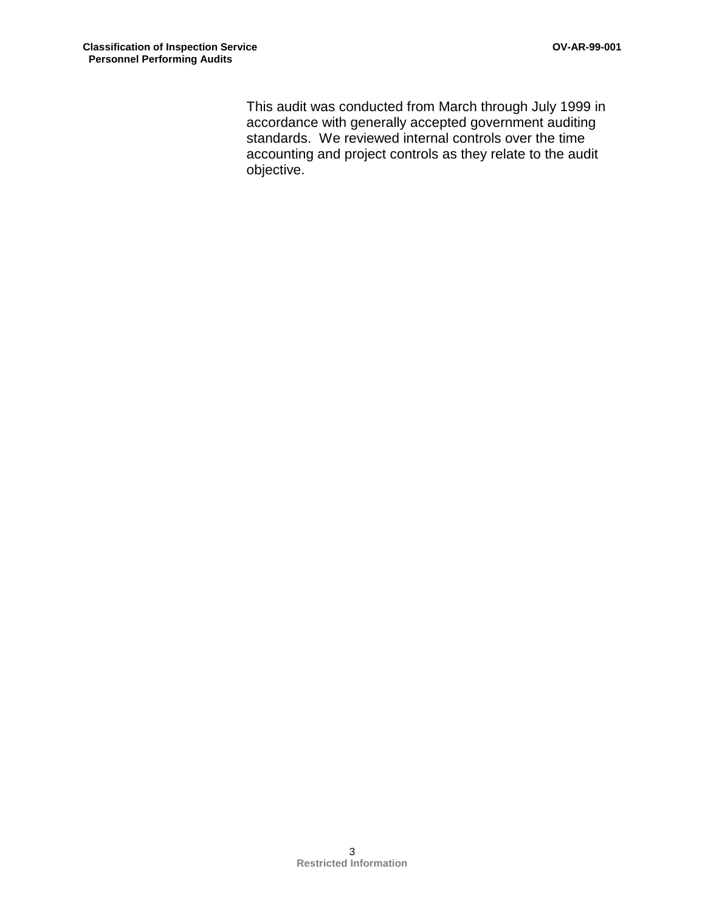This audit was conducted from March through July 1999 in accordance with generally accepted government auditing standards. We reviewed internal controls over the time accounting and project controls as they relate to the audit objective.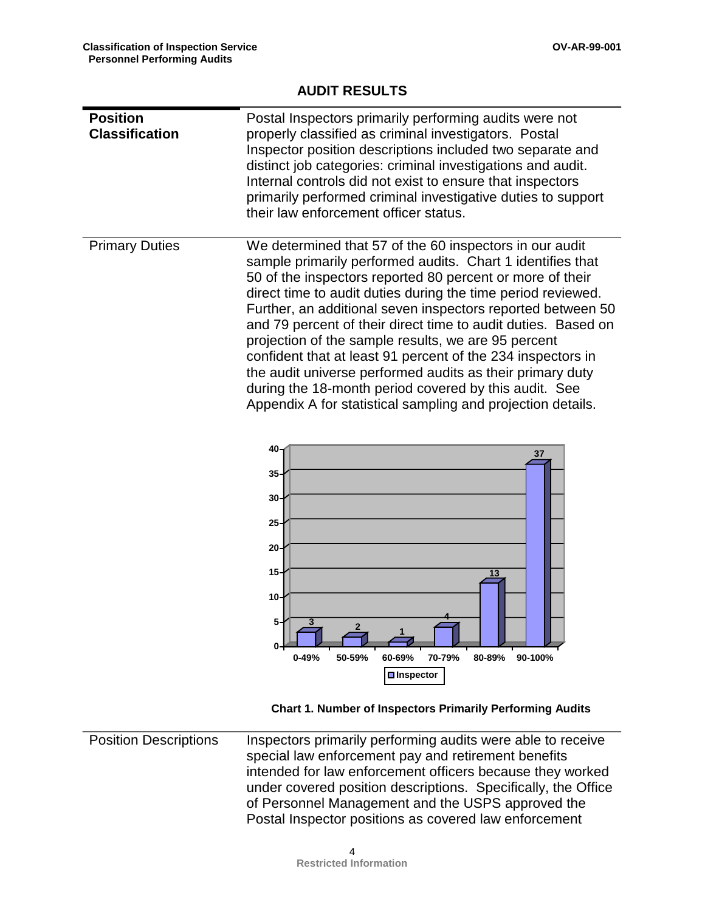| <b>AUDIT RESULTS</b> |
|----------------------|
|----------------------|

| <b>Position</b><br><b>Classification</b> | Postal Inspectors primarily performing audits were not<br>properly classified as criminal investigators. Postal<br>Inspector position descriptions included two separate and<br>distinct job categories: criminal investigations and audit.<br>Internal controls did not exist to ensure that inspectors<br>primarily performed criminal investigative duties to support<br>their law enforcement officer status.                                                                                                                                                                                                                                                                                                                                                                                                                                                                                             |
|------------------------------------------|---------------------------------------------------------------------------------------------------------------------------------------------------------------------------------------------------------------------------------------------------------------------------------------------------------------------------------------------------------------------------------------------------------------------------------------------------------------------------------------------------------------------------------------------------------------------------------------------------------------------------------------------------------------------------------------------------------------------------------------------------------------------------------------------------------------------------------------------------------------------------------------------------------------|
| <b>Primary Duties</b>                    | We determined that 57 of the 60 inspectors in our audit<br>sample primarily performed audits. Chart 1 identifies that<br>50 of the inspectors reported 80 percent or more of their<br>direct time to audit duties during the time period reviewed.<br>Further, an additional seven inspectors reported between 50<br>and 79 percent of their direct time to audit duties. Based on<br>projection of the sample results, we are 95 percent<br>confident that at least 91 percent of the 234 inspectors in<br>the audit universe performed audits as their primary duty<br>during the 18-month period covered by this audit. See<br>Appendix A for statistical sampling and projection details.<br>40<br>37<br>35<br>30<br>25<br>20 <sub>2</sub><br>$15 -$<br>13<br>10<br>5.<br>3<br>$\overline{2}$<br>$\mathbf{0}$<br>$0 - 49%$<br>50-59%<br>60-69%<br>70-79%<br>80-89%<br>90-100%<br>$\blacksquare$ Inspector |

**Chart 1. Number of Inspectors Primarily Performing Audits** 

Position Descriptions Inspectors primarily performing audits were able to receive special law enforcement pay and retirement benefits intended for law enforcement officers because they worked under covered position descriptions. Specifically, the Office of Personnel Management and the USPS approved the Postal Inspector positions as covered law enforcement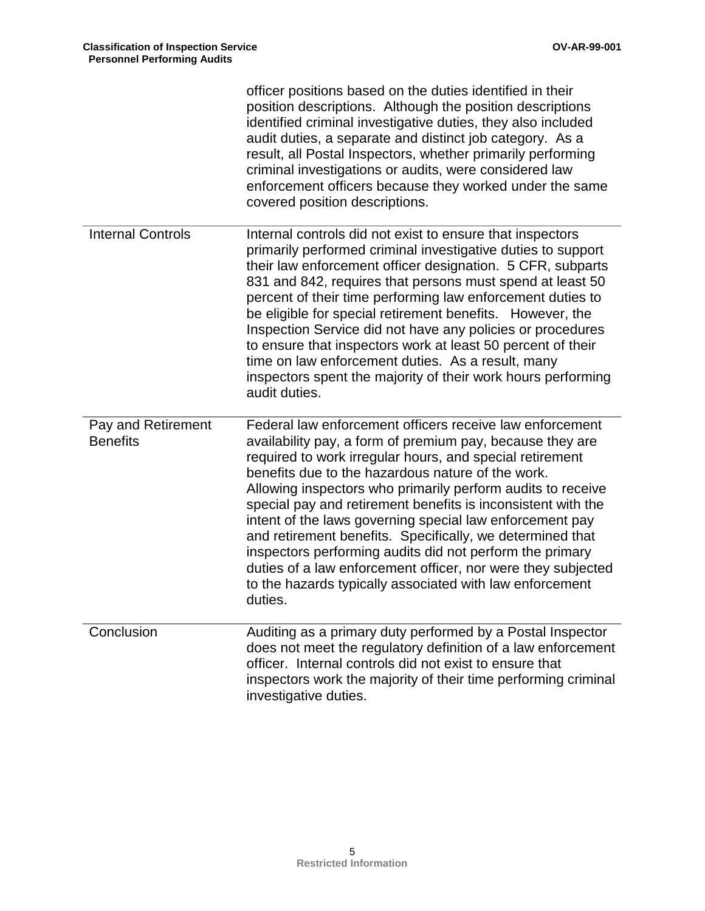|                                       | officer positions based on the duties identified in their<br>position descriptions. Although the position descriptions<br>identified criminal investigative duties, they also included<br>audit duties, a separate and distinct job category. As a<br>result, all Postal Inspectors, whether primarily performing<br>criminal investigations or audits, were considered law<br>enforcement officers because they worked under the same<br>covered position descriptions.                                                                                                                                                                                                                          |
|---------------------------------------|---------------------------------------------------------------------------------------------------------------------------------------------------------------------------------------------------------------------------------------------------------------------------------------------------------------------------------------------------------------------------------------------------------------------------------------------------------------------------------------------------------------------------------------------------------------------------------------------------------------------------------------------------------------------------------------------------|
| <b>Internal Controls</b>              | Internal controls did not exist to ensure that inspectors<br>primarily performed criminal investigative duties to support<br>their law enforcement officer designation. 5 CFR, subparts<br>831 and 842, requires that persons must spend at least 50<br>percent of their time performing law enforcement duties to<br>be eligible for special retirement benefits. However, the<br>Inspection Service did not have any policies or procedures<br>to ensure that inspectors work at least 50 percent of their<br>time on law enforcement duties. As a result, many<br>inspectors spent the majority of their work hours performing<br>audit duties.                                                |
| Pay and Retirement<br><b>Benefits</b> | Federal law enforcement officers receive law enforcement<br>availability pay, a form of premium pay, because they are<br>required to work irregular hours, and special retirement<br>benefits due to the hazardous nature of the work.<br>Allowing inspectors who primarily perform audits to receive<br>special pay and retirement benefits is inconsistent with the<br>intent of the laws governing special law enforcement pay<br>and retirement benefits. Specifically, we determined that<br>inspectors performing audits did not perform the primary<br>duties of a law enforcement officer, nor were they subjected<br>to the hazards typically associated with law enforcement<br>duties. |
| Conclusion                            | Auditing as a primary duty performed by a Postal Inspector<br>does not meet the regulatory definition of a law enforcement<br>officer. Internal controls did not exist to ensure that<br>inspectors work the majority of their time performing criminal<br>investigative duties.                                                                                                                                                                                                                                                                                                                                                                                                                  |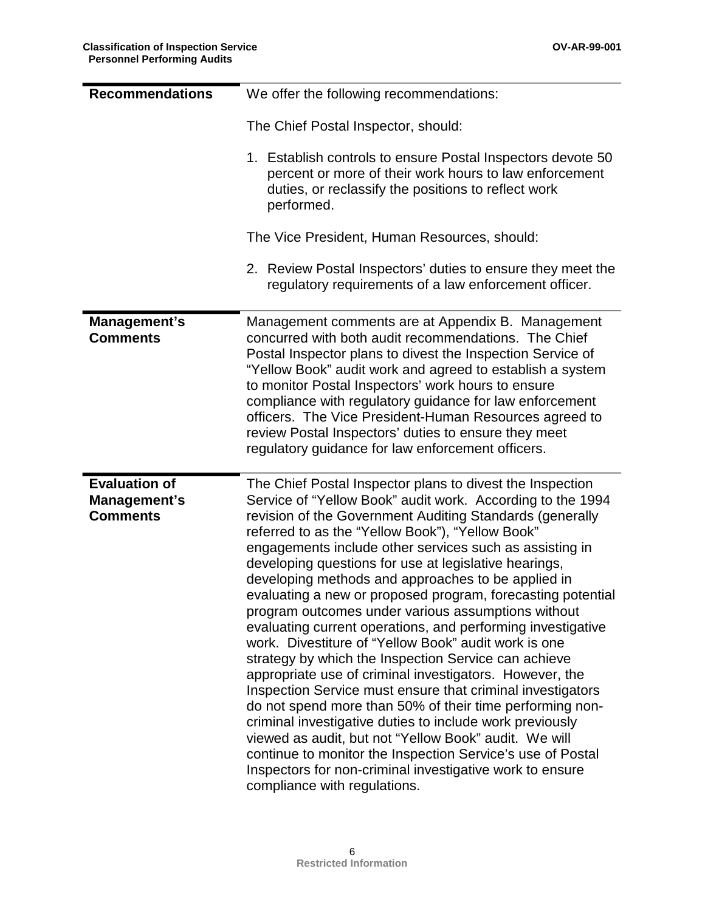| <b>Recommendations</b>                                  | We offer the following recommendations:                                                                                                                                                                                                                                                                                                                                                                                                                                                                                                                                                                                                                                                                                                                                                                                                                                                                                                                                                                                                                                                                                                                                                   |
|---------------------------------------------------------|-------------------------------------------------------------------------------------------------------------------------------------------------------------------------------------------------------------------------------------------------------------------------------------------------------------------------------------------------------------------------------------------------------------------------------------------------------------------------------------------------------------------------------------------------------------------------------------------------------------------------------------------------------------------------------------------------------------------------------------------------------------------------------------------------------------------------------------------------------------------------------------------------------------------------------------------------------------------------------------------------------------------------------------------------------------------------------------------------------------------------------------------------------------------------------------------|
|                                                         | The Chief Postal Inspector, should:                                                                                                                                                                                                                                                                                                                                                                                                                                                                                                                                                                                                                                                                                                                                                                                                                                                                                                                                                                                                                                                                                                                                                       |
|                                                         | 1. Establish controls to ensure Postal Inspectors devote 50<br>percent or more of their work hours to law enforcement<br>duties, or reclassify the positions to reflect work<br>performed.                                                                                                                                                                                                                                                                                                                                                                                                                                                                                                                                                                                                                                                                                                                                                                                                                                                                                                                                                                                                |
|                                                         | The Vice President, Human Resources, should:                                                                                                                                                                                                                                                                                                                                                                                                                                                                                                                                                                                                                                                                                                                                                                                                                                                                                                                                                                                                                                                                                                                                              |
|                                                         | 2. Review Postal Inspectors' duties to ensure they meet the<br>regulatory requirements of a law enforcement officer.                                                                                                                                                                                                                                                                                                                                                                                                                                                                                                                                                                                                                                                                                                                                                                                                                                                                                                                                                                                                                                                                      |
| Management's<br><b>Comments</b>                         | Management comments are at Appendix B. Management<br>concurred with both audit recommendations. The Chief<br>Postal Inspector plans to divest the Inspection Service of<br>"Yellow Book" audit work and agreed to establish a system<br>to monitor Postal Inspectors' work hours to ensure<br>compliance with regulatory guidance for law enforcement<br>officers. The Vice President-Human Resources agreed to<br>review Postal Inspectors' duties to ensure they meet<br>regulatory guidance for law enforcement officers.                                                                                                                                                                                                                                                                                                                                                                                                                                                                                                                                                                                                                                                              |
| <b>Evaluation of</b><br>Management's<br><b>Comments</b> | The Chief Postal Inspector plans to divest the Inspection<br>Service of "Yellow Book" audit work. According to the 1994<br>revision of the Government Auditing Standards (generally<br>referred to as the "Yellow Book"), "Yellow Book"<br>engagements include other services such as assisting in<br>developing questions for use at legislative hearings,<br>developing methods and approaches to be applied in<br>evaluating a new or proposed program, forecasting potential<br>program outcomes under various assumptions without<br>evaluating current operations, and performing investigative<br>work. Divestiture of "Yellow Book" audit work is one<br>strategy by which the Inspection Service can achieve<br>appropriate use of criminal investigators. However, the<br>Inspection Service must ensure that criminal investigators<br>do not spend more than 50% of their time performing non-<br>criminal investigative duties to include work previously<br>viewed as audit, but not "Yellow Book" audit. We will<br>continue to monitor the Inspection Service's use of Postal<br>Inspectors for non-criminal investigative work to ensure<br>compliance with regulations. |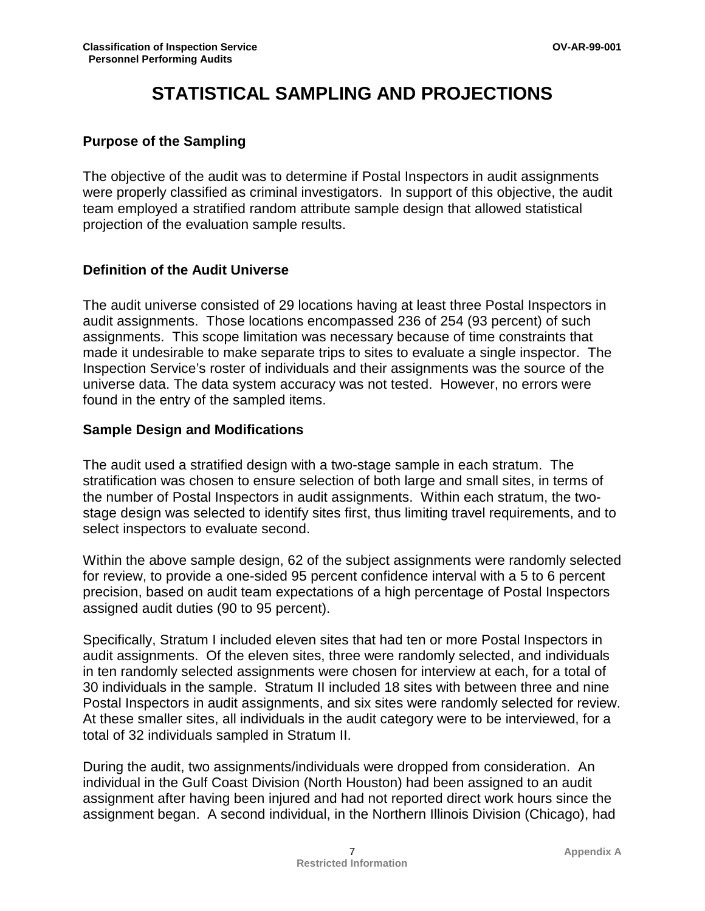# **STATISTICAL SAMPLING AND PROJECTIONS**

#### **Purpose of the Sampling**

The objective of the audit was to determine if Postal Inspectors in audit assignments were properly classified as criminal investigators. In support of this objective, the audit team employed a stratified random attribute sample design that allowed statistical projection of the evaluation sample results.

#### **Definition of the Audit Universe**

The audit universe consisted of 29 locations having at least three Postal Inspectors in audit assignments. Those locations encompassed 236 of 254 (93 percent) of such assignments. This scope limitation was necessary because of time constraints that made it undesirable to make separate trips to sites to evaluate a single inspector. The Inspection Service's roster of individuals and their assignments was the source of the universe data. The data system accuracy was not tested. However, no errors were found in the entry of the sampled items.

#### **Sample Design and Modifications**

The audit used a stratified design with a two-stage sample in each stratum. The stratification was chosen to ensure selection of both large and small sites, in terms of the number of Postal Inspectors in audit assignments. Within each stratum, the twostage design was selected to identify sites first, thus limiting travel requirements, and to select inspectors to evaluate second.

Within the above sample design, 62 of the subject assignments were randomly selected for review, to provide a one-sided 95 percent confidence interval with a 5 to 6 percent precision, based on audit team expectations of a high percentage of Postal Inspectors assigned audit duties (90 to 95 percent).

Specifically, Stratum I included eleven sites that had ten or more Postal Inspectors in audit assignments. Of the eleven sites, three were randomly selected, and individuals in ten randomly selected assignments were chosen for interview at each, for a total of 30 individuals in the sample. Stratum II included 18 sites with between three and nine Postal Inspectors in audit assignments, and six sites were randomly selected for review. At these smaller sites, all individuals in the audit category were to be interviewed, for a total of 32 individuals sampled in Stratum II.

During the audit, two assignments/individuals were dropped from consideration. An individual in the Gulf Coast Division (North Houston) had been assigned to an audit assignment after having been injured and had not reported direct work hours since the assignment began. A second individual, in the Northern Illinois Division (Chicago), had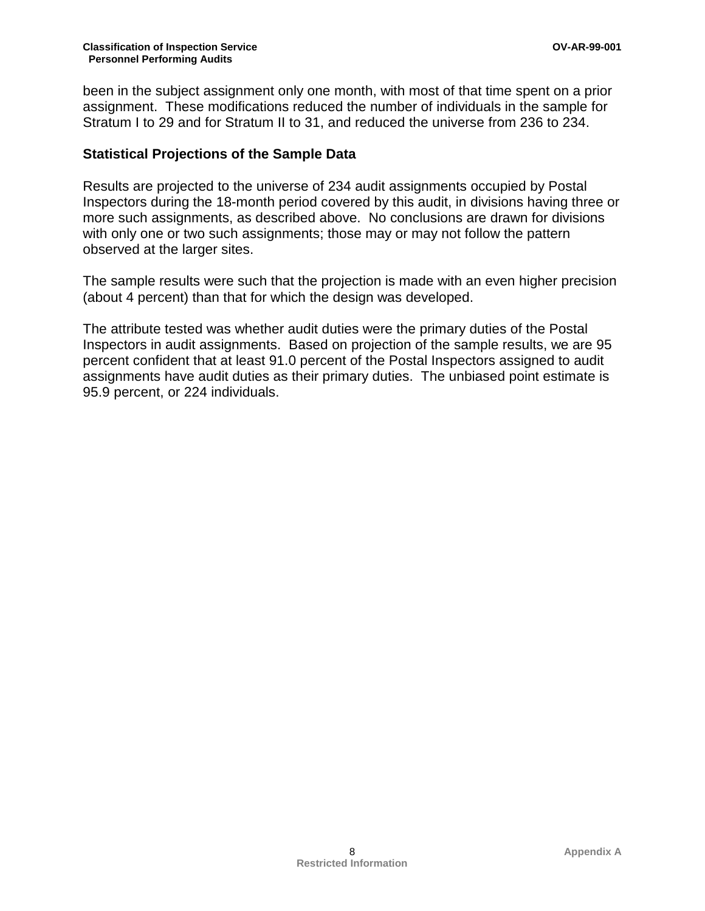been in the subject assignment only one month, with most of that time spent on a prior assignment. These modifications reduced the number of individuals in the sample for Stratum I to 29 and for Stratum II to 31, and reduced the universe from 236 to 234.

#### **Statistical Projections of the Sample Data**

Results are projected to the universe of 234 audit assignments occupied by Postal Inspectors during the 18-month period covered by this audit, in divisions having three or more such assignments, as described above. No conclusions are drawn for divisions with only one or two such assignments; those may or may not follow the pattern observed at the larger sites.

The sample results were such that the projection is made with an even higher precision (about 4 percent) than that for which the design was developed.

The attribute tested was whether audit duties were the primary duties of the Postal Inspectors in audit assignments. Based on projection of the sample results, we are 95 percent confident that at least 91.0 percent of the Postal Inspectors assigned to audit assignments have audit duties as their primary duties. The unbiased point estimate is 95.9 percent, or 224 individuals.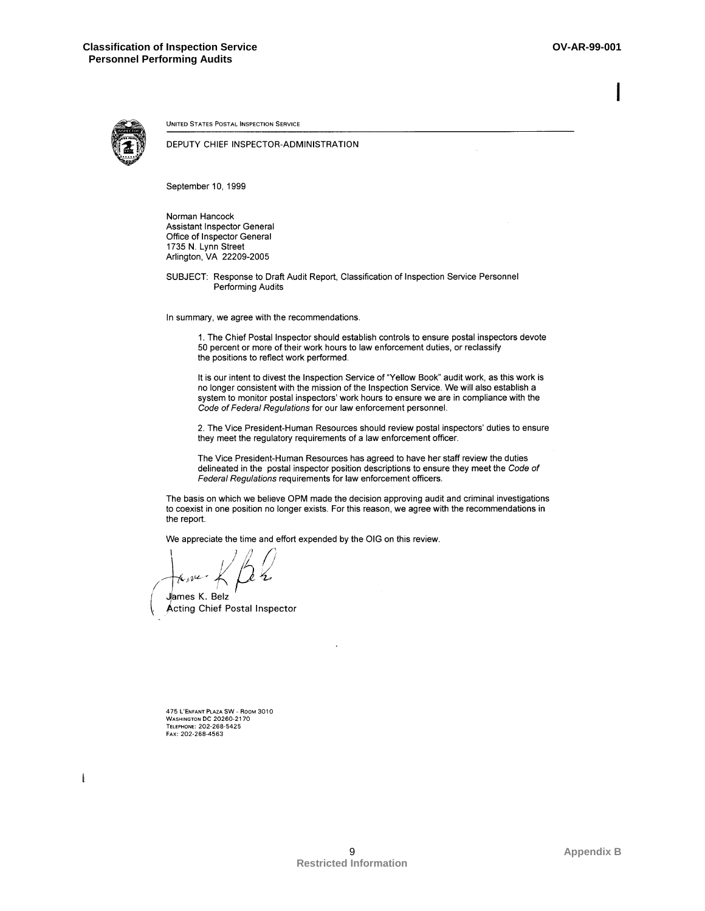

**UNITED STATES POSTAL INSPECTION SERVICE** 

DEPUTY CHIEF INSPECTOR-ADMINISTRATION

September 10, 1999

Norman Hancock Assistant Inspector General Office of Inspector General 1735 N. Lynn Street Arlington, VA 22209-2005

SUBJECT: Response to Draft Audit Report, Classification of Inspection Service Personnel Performing Audits

In summary, we agree with the recommendations.

1. The Chief Postal Inspector should establish controls to ensure postal inspectors devote 50 percent or more of their work hours to law enforcement duties, or reclassify the positions to reflect work performed.

It is our intent to divest the Inspection Service of "Yellow Book" audit work, as this work is no longer consistent with the mission of the Inspection Service. We will also establish a system to monitor postal inspectors' work hours to ensure we are in compliance with the Code of Federal Regulations for our law enforcement personnel.

2. The Vice President-Human Resources should review postal inspectors' duties to ensure they meet the regulatory requirements of a law enforcement officer.

The Vice President-Human Resources has agreed to have her staff review the duties delineated in the postal inspector position descriptions to ensure they meet the Code of Federal Regulations requirements for law enforcement officers.

The basis on which we believe OPM made the decision approving audit and criminal investigations to coexist in one position no longer exists. For this reason, we agree with the recommendations in the report.

We appreciate the time and effort expended by the OIG on this review.

James K. Belz Acting Chief Postal Inspector

475 L'ENFANT PLAZA SW - ROOM 3010 WASHINGTON DC 20260-2170 TELEPHONE: 202-268-5425 Fax: 202-268-4563